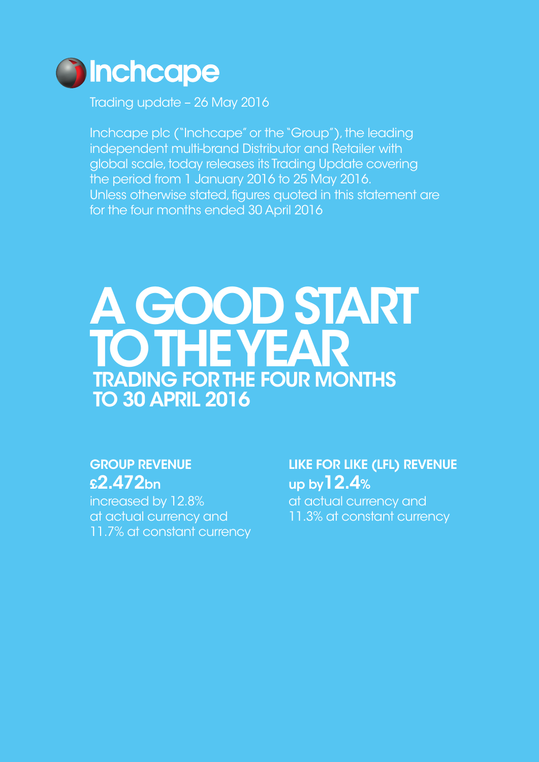

Trading update – 26 May 2016

Inchcape plc ("Inchcape" or the "Group"), the leading independent multi-brand Distributor and Retailer with global scale, today releases its Trading Update covering the period from 1 January 2016 to 25 May 2016. Unless otherwise stated, figures quoted in this statement are for the four months ended 30 April 2016

# A GOOD START TO THE YEAR TRADING FOR THE FOUR MONTHS TO 30 APRIL 2016

## GROUP REVENUE £2.472bn

increased by 12.8% at actual currency and 11.7% at constant currency LIKE FOR LIKE (LFL) REVENUE up by12.4%

at actual currency and 11.3% at constant currency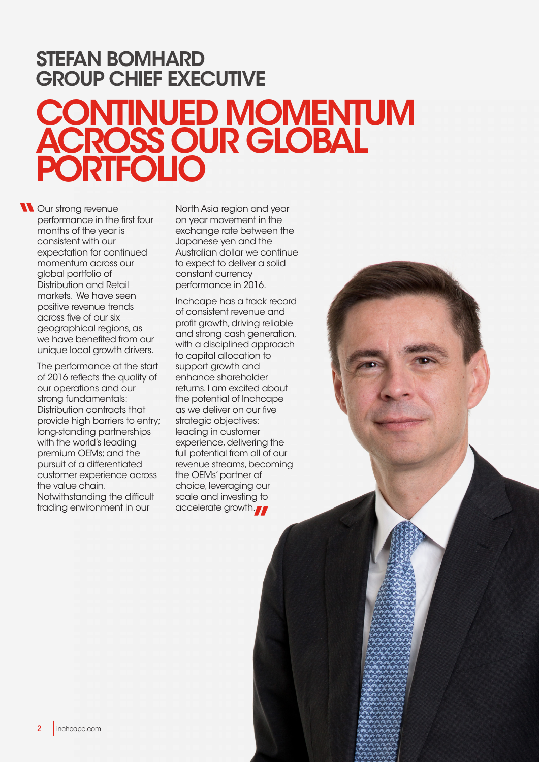# CONTINUED MOMENTUM ACROSS OUR GLOBAL PORTFOLIO STEFAN BOMHARD GROUP CHIEF EXECUTIVE

<sup>1</sup> Our strong revenue<br>
performance in the<br>
months of the year<br>
consistent with our performance in the first four months of the year is consistent with our expectation for continued momentum across our global portfolio of Distribution and Retail markets. We have seen positive revenue trends across five of our six geographical regions, as we have benefited from our unique local growth drivers.

> The performance at the start of 2016 reflects the quality of our operations and our strong fundamentals: Distribution contracts that provide high barriers to entry; long-standing partnerships with the world's leading premium OEMs; and the pursuit of a differentiated customer experience across the value chain. Notwithstanding the difficult

trading environment in our

North Asia region and year on year movement in the exchange rate between the Japanese yen and the Australian dollar we continue to expect to deliver a solid constant currency performance in 2016.

Inchcape has a track record of consistent revenue and profit growth, driving reliable and strong cash generation, with a disciplined approach to capital allocation to support growth and enhance shareholder returns. I am excited about the potential of Inchcape as we deliver on our five strategic objectives: leading in customer experience, delivering the full potential from all of our revenue streams, becoming the OEMs' partner of choice, leveraging our scale and investing to accelerate growth.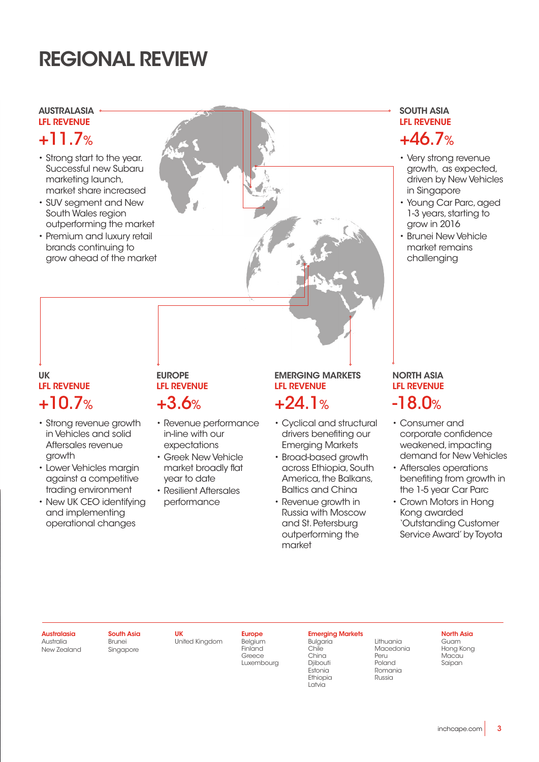# REGIONAL REVIEW

### AUSTRALASIA LFL REVENUE

- Strong start to the year. Successful new Subaru marketing launch, market share increased
- SUV segment and New South Wales region outperforming the market
- Premium and luxury retail brands continuing to grow ahead of the market

## UK LFL REVENUE  $+10.7\%$   $+3.6\%$   $+24.1\%$  -18.0%

- Strong revenue growth in Vehicles and solid Aftersales revenue growth
- Lower Vehicles margin against a competitive trading environment
- New UK CEO identifying and implementing operational changes

### **EUROPE** LFL REVENUE  $+3.6\%$   $+24.1\%$

- Revenue performance in-line with our expectations
- Greek New Vehicle market broadly flat year to date
- Resilient Aftersales performance

## EMERGING MARKETS LFL REVENUE

- Cyclical and structural drivers benefiting our Emerging Markets
- Broad-based growth across Ethiopia, South America, the Balkans, Baltics and China
- Revenue growth in Russia with Moscow and St. Petersburg outperforming the market

## SOUTH ASIA LFL REVENUE +11.7% +46.7%

- Very strong revenue growth, as expected, driven by New Vehicles in Singapore
- Young Car Parc, aged 1-3 years, starting to  $arow in 2016$
- Brunei New Vehicle market remains challenging

# NORTH ASIA LFL REVENUE

- Consumer and corporate confidence weakened, impacting demand for New Vehicles
- Aftersales operations benefiting from growth in the 1-5 year Car Parc
- Crown Motors in Hong Kong awarded 'Outstanding Customer Service Award' by Toyota

### Australasia Australia

New Zealand

South Asia Brunei Singapore

United Kingdom

UK

Belgium Finland **Greece** Luxembourg

**Europe** 

### Emerging Markets Bulgaria Chile China

Djibouti Estonia Ethiopia Latvia

**Macedonia** Peru Poland Romania Russia

Lithuania

### North Asia Guam

Hong Kong Macau Saipan